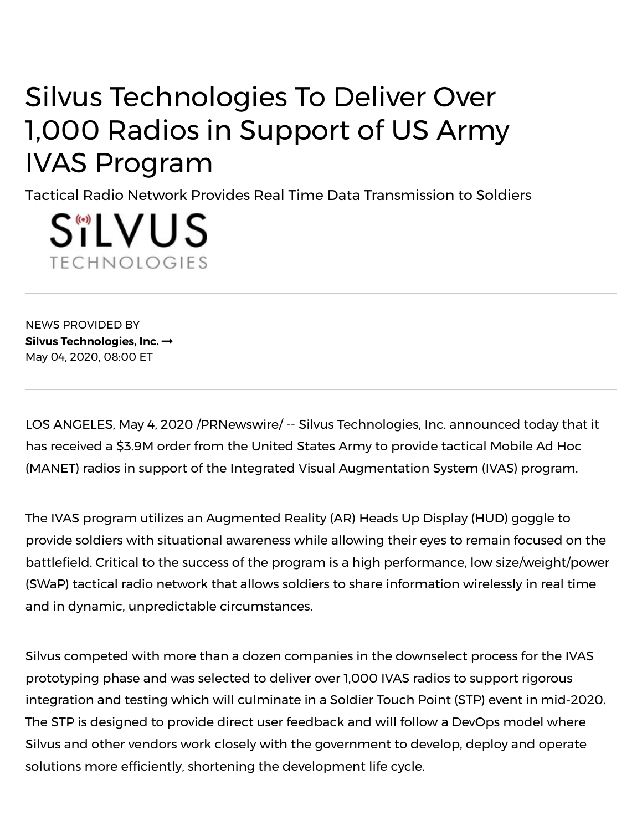## Silvus Technologies To Deliver Over 1,000 Radios in Support of US Army IVAS Program

Tactical Radio Network Provides Real Time Data Transmission to Soldiers

S"LVUS **TECHNOLOGIES** 

NEWS PROVIDED BY **Silvus [Technologies,](https://www.prnewswire.com/news/silvus-technologies%2C-inc.) Inc.** May 04, 2020, 08:00 ET

LOS ANGELES, May 4, 2020 /PRNewswire/ -- Silvus Technologies, Inc. announced today that it has received a \$3.9M order from the United States Army to provide tactical Mobile Ad Hoc (MANET) radios in support of the Integrated Visual Augmentation System (IVAS) program.

The IVAS program utilizes an Augmented Reality (AR) Heads Up Display (HUD) goggle to provide soldiers with situational awareness while allowing their eyes to remain focused on the battlefield. Critical to the success of the program is a high performance, low size/weight/power (SWaP) tactical radio network that allows soldiers to share information wirelessly in real time and in dynamic, unpredictable circumstances.

Silvus competed with more than a dozen companies in the downselect process for the IVAS prototyping phase and was selected to deliver over 1,000 IVAS radios to support rigorous integration and testing which will culminate in a Soldier Touch Point (STP) event in mid-2020. The STP is designed to provide direct user feedback and will follow a DevOps model where Silvus and other vendors work closely with the government to develop, deploy and operate solutions more efficiently, shortening the development life cycle.